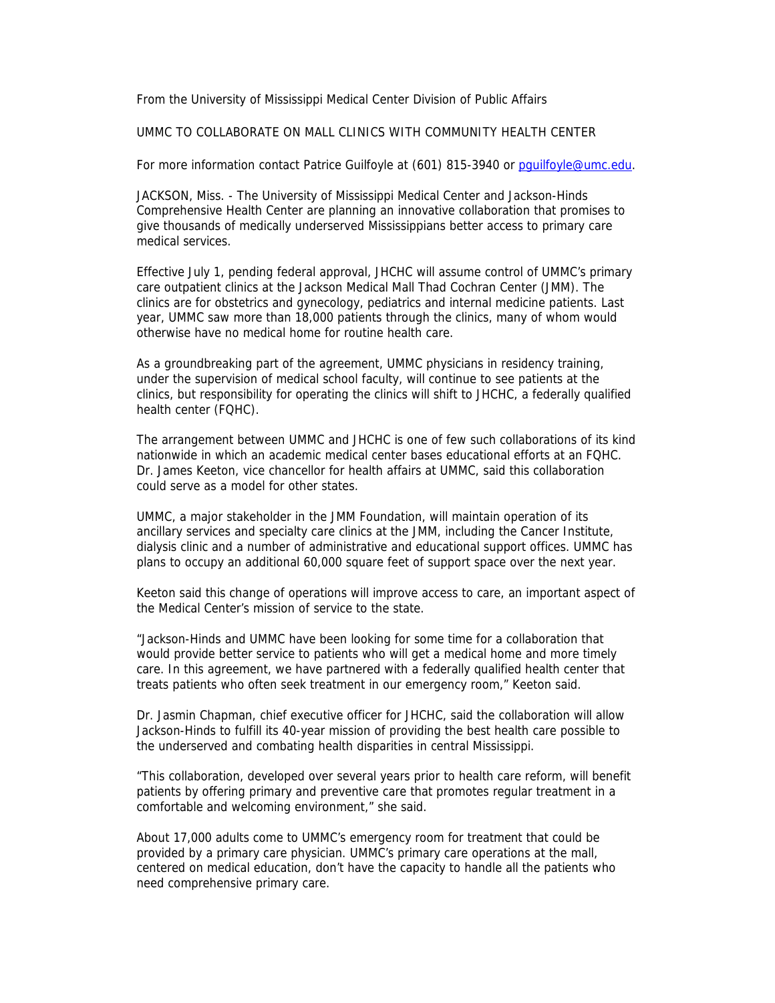From the University of Mississippi Medical Center Division of Public Affairs

UMMC TO COLLABORATE ON MALL CLINICS WITH COMMUNITY HEALTH CENTER

For more information contact Patrice Guilfoyle at (601) 815-3940 or pguilfoyle@umc.edu.

JACKSON, Miss. - The University of Mississippi Medical Center and Jackson-Hinds Comprehensive Health Center are planning an innovative collaboration that promises to give thousands of medically underserved Mississippians better access to primary care medical services.

Effective July 1, pending federal approval, JHCHC will assume control of UMMC's primary care outpatient clinics at the Jackson Medical Mall Thad Cochran Center (JMM). The clinics are for obstetrics and gynecology, pediatrics and internal medicine patients. Last year, UMMC saw more than 18,000 patients through the clinics, many of whom would otherwise have no medical home for routine health care.

As a groundbreaking part of the agreement, UMMC physicians in residency training, under the supervision of medical school faculty, will continue to see patients at the clinics, but responsibility for operating the clinics will shift to JHCHC, a federally qualified health center (FQHC).

The arrangement between UMMC and JHCHC is one of few such collaborations of its kind nationwide in which an academic medical center bases educational efforts at an FQHC. Dr. James Keeton, vice chancellor for health affairs at UMMC, said this collaboration could serve as a model for other states.

UMMC, a major stakeholder in the JMM Foundation, will maintain operation of its ancillary services and specialty care clinics at the JMM, including the Cancer Institute, dialysis clinic and a number of administrative and educational support offices. UMMC has plans to occupy an additional 60,000 square feet of support space over the next year.

Keeton said this change of operations will improve access to care, an important aspect of the Medical Center's mission of service to the state.

"Jackson-Hinds and UMMC have been looking for some time for a collaboration that would provide better service to patients who will get a medical home and more timely care. In this agreement, we have partnered with a federally qualified health center that treats patients who often seek treatment in our emergency room," Keeton said.

Dr. Jasmin Chapman, chief executive officer for JHCHC, said the collaboration will allow Jackson-Hinds to fulfill its 40-year mission of providing the best health care possible to the underserved and combating health disparities in central Mississippi.

"This collaboration, developed over several years prior to health care reform, will benefit patients by offering primary and preventive care that promotes regular treatment in a comfortable and welcoming environment," she said.

About 17,000 adults come to UMMC's emergency room for treatment that could be provided by a primary care physician. UMMC's primary care operations at the mall, centered on medical education, don't have the capacity to handle all the patients who need comprehensive primary care.